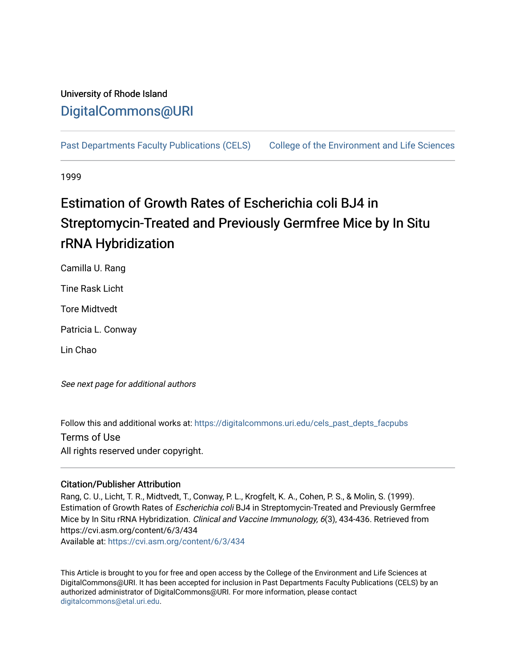## University of Rhode Island [DigitalCommons@URI](https://digitalcommons.uri.edu/)

[Past Departments Faculty Publications \(CELS\)](https://digitalcommons.uri.edu/cels_past_depts_facpubs) College of the Environment and Life Sciences

1999

# Estimation of Growth Rates of Escherichia coli BJ4 in Streptomycin-Treated and Previously Germfree Mice by In Situ rRNA Hybridization

Camilla U. Rang

Tine Rask Licht

Tore Midtvedt

Patricia L. Conway

Lin Chao

See next page for additional authors

Follow this and additional works at: [https://digitalcommons.uri.edu/cels\\_past\\_depts\\_facpubs](https://digitalcommons.uri.edu/cels_past_depts_facpubs?utm_source=digitalcommons.uri.edu%2Fcels_past_depts_facpubs%2F3&utm_medium=PDF&utm_campaign=PDFCoverPages) 

Terms of Use

All rights reserved under copyright.

### Citation/Publisher Attribution

Rang, C. U., Licht, T. R., Midtvedt, T., Conway, P. L., Krogfelt, K. A., Cohen, P. S., & Molin, S. (1999). Estimation of Growth Rates of Escherichia coli BJ4 in Streptomycin-Treated and Previously Germfree Mice by In Situ rRNA Hybridization. Clinical and Vaccine Immunology, 6(3), 434-436. Retrieved from https://cvi.asm.org/content/6/3/434 Available at:<https://cvi.asm.org/content/6/3/434>

This Article is brought to you for free and open access by the College of the Environment and Life Sciences at DigitalCommons@URI. It has been accepted for inclusion in Past Departments Faculty Publications (CELS) by an authorized administrator of DigitalCommons@URI. For more information, please contact [digitalcommons@etal.uri.edu](mailto:digitalcommons@etal.uri.edu).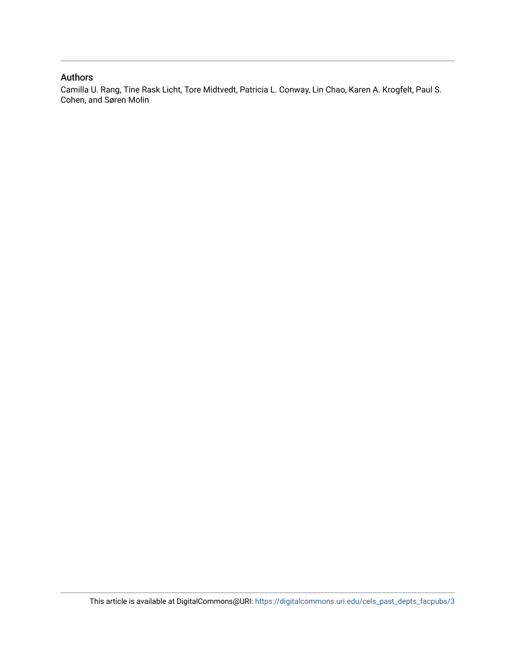### Authors

Camilla U. Rang, Tine Rask Licht, Tore Midtvedt, Patricia L. Conway, Lin Chao, Karen A. Krogfelt, Paul S. Cohen, and Søren Molin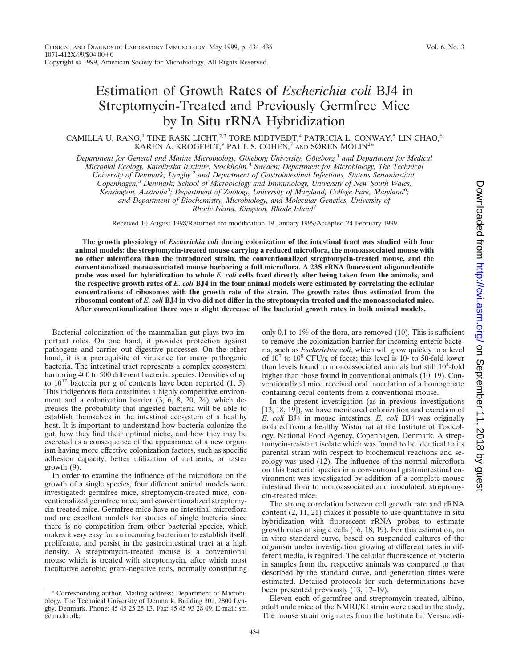## Estimation of Growth Rates of *Escherichia coli* BJ4 in Streptomycin-Treated and Previously Germfree Mice by In Situ rRNA Hybridization

#### CAMILLA U. RANG,<sup>1</sup> TINE RASK LICHT,<sup>2,3</sup> TORE MIDTVEDT,<sup>4</sup> PATRICIA L. CONWAY,<sup>5</sup> LIN CHAO,<sup>6</sup> KAREN A. KROGFELT,<sup>3</sup> PAUL S. COHEN,<sup>7</sup> AND SØREN MOLIN<sup>2</sup>\*

*Department for General and Marine Microbiology, Göteborg University, Göteborg,<sup>1</sup> and Department for Medical Microbial Ecology, Karolinska Institute, Stockholm,*<sup>4</sup> *Sweden; Department for Microbiology, The Technical University of Denmark, Lyngby,*<sup>2</sup> *and Department of Gastrointestinal Infections, Statens Seruminstitut, Copenhagen,*<sup>3</sup> *Denmark; School of Microbiology and Immunology, University of New South Wales, Kensington, Australia*<sup>5</sup> *; Department of Zoology, University of Maryland, College Park, Maryland*<sup>6</sup> *; and Department of Biochemistry, Microbiology, and Molecular Genetics, University of Rhode Island, Kingston, Rhode Island*<sup>7</sup>

Received 10 August 1998/Returned for modification 19 January 1999/Accepted 24 February 1999

**The growth physiology of** *Escherichia coli* **during colonization of the intestinal tract was studied with four animal models: the streptomycin-treated mouse carrying a reduced microflora, the monoassociated mouse with no other microflora than the introduced strain, the conventionalized streptomycin-treated mouse, and the conventionalized monoassociated mouse harboring a full microflora. A 23S rRNA fluorescent oligonucleotide probe was used for hybridization to whole** *E. coli* **cells fixed directly after being taken from the animals, and the respective growth rates of** *E. coli* **BJ4 in the four animal models were estimated by correlating the cellular concentrations of ribosomes with the growth rate of the strain. The growth rates thus estimated from the ribosomal content of** *E. coli* **BJ4 in vivo did not differ in the streptomycin-treated and the monoassociated mice. After conventionalization there was a slight decrease of the bacterial growth rates in both animal models.**

Bacterial colonization of the mammalian gut plays two important roles. On one hand, it provides protection against pathogens and carries out digestive processes. On the other hand, it is a prerequisite of virulence for many pathogenic bacteria. The intestinal tract represents a complex ecosystem, harboring 400 to 500 different bacterial species. Densities of up to  $10^{12}$  bacteria per g of contents have been reported  $(1, 5)$ . This indigenous flora constitutes a highly competitive environment and a colonization barrier (3, 6, 8, 20, 24), which decreases the probability that ingested bacteria will be able to establish themselves in the intestinal ecosystem of a healthy host. It is important to understand how bacteria colonize the gut, how they find their optimal niche, and how they may be excreted as a consequence of the appearance of a new organism having more effective colonization factors, such as specific adhesion capacity, better utilization of nutrients, or faster growth (9).

In order to examine the influence of the microflora on the growth of a single species, four different animal models were investigated: germfree mice, streptomycin-treated mice, conventionalized germfree mice, and conventionalized streptomycin-treated mice. Germfree mice have no intestinal microflora and are excellent models for studies of single bacteria since there is no competition from other bacterial species, which makes it very easy for an incoming bacterium to establish itself, proliferate, and persist in the gastrointestinal tract at a high density. A streptomycin-treated mouse is a conventional mouse which is treated with streptomycin, after which most facultative aerobic, gram-negative rods, normally constituting

\* Corresponding author. Mailing address: Department of Microbiology, The Technical University of Denmark, Building 301, 2800 Lyngby, Denmark. Phone: 45 45 25 25 13. Fax: 45 45 93 28 09. E-mail: sm @im.dtu.dk.

only 0.1 to 1% of the flora, are removed (10). This is sufficient to remove the colonization barrier for incoming enteric bacteria, such as *Escherichia coli*, which will grow quickly to a level of  $10^7$  to  $10^8$  CFU/g of feces; this level is 10- to 50-fold lower than levels found in monoassociated animals but still 10<sup>4</sup>-fold higher than those found in conventional animals (10, 19). Conventionalized mice received oral inoculation of a homogenate containing cecal contents from a conventional mouse.

In the present investigation (as in previous investigations [13, 18, 19]), we have monitored colonization and excretion of *E. coli* BJ4 in mouse intestines. *E. coli* BJ4 was originally isolated from a healthy Wistar rat at the Institute of Toxicology, National Food Agency, Copenhagen, Denmark. A streptomycin-resistant isolate which was found to be identical to its parental strain with respect to biochemical reactions and serology was used (12). The influence of the normal microflora on this bacterial species in a conventional gastrointestinal environment was investigated by addition of a complete mouse intestinal flora to monoassociated and inoculated, streptomycin-treated mice.

The strong correlation between cell growth rate and rRNA content (2, 11, 21) makes it possible to use quantitative in situ hybridization with fluorescent rRNA probes to estimate growth rates of single cells (16, 18, 19). For this estimation, an in vitro standard curve, based on suspended cultures of the organism under investigation growing at different rates in different media, is required. The cellular fluorescence of bacteria in samples from the respective animals was compared to that described by the standard curve, and generation times were estimated. Detailed protocols for such determinations have been presented previously (13, 17–19).

Eleven each of germfree and streptomycin-treated, albino, adult male mice of the NMRI/KI strain were used in the study. The mouse strain originates from the Institute fur Versuchsti-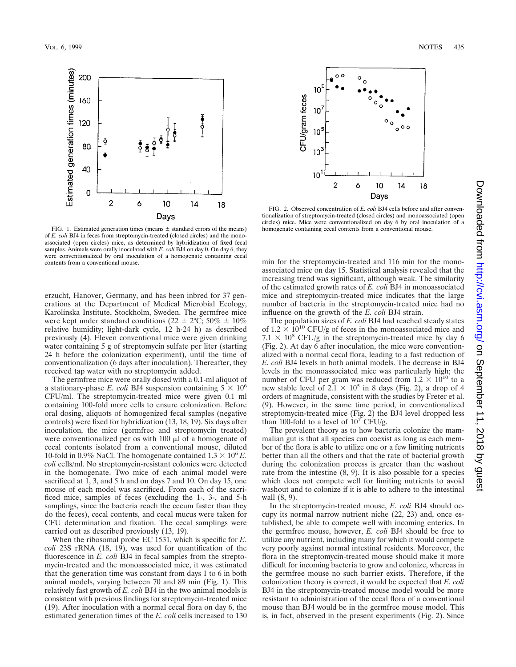

FIG. 1. Estimated generation times (means  $\pm$  standard errors of the means) of *E. coli* BJ4 in feces from streptomycin-treated (closed circles) and the monoassociated (open circles) mice, as determined by hybridization of fixed fecal samples. Animals were orally inoculated with *E. coli* BJ4 on day 0. On day 6, they were conventionalized by oral inoculation of a homogenate containing cecal contents from a conventional mouse.

erzucht, Hanover, Germany, and has been inbred for 37 generations at the Department of Medical Microbial Ecology, Karolinska Institute, Stockholm, Sweden. The germfree mice were kept under standard conditions (22  $\pm$  2°C; 50%  $\pm$  10% relative humidity; light-dark cycle, 12 h-24 h) as described previously (4). Eleven conventional mice were given drinking water containing 5 g of streptomycin sulfate per liter (starting 24 h before the colonization experiment), until the time of conventionalization (6 days after inoculation). Thereafter, they received tap water with no streptomycin added.

The germfree mice were orally dosed with a 0.1-ml aliquot of a stationary-phase *E. coli* BJ4 suspension containing  $5 \times 10^6$ CFU/ml. The streptomycin-treated mice were given 0.1 ml containing 100-fold more cells to ensure colonization. Before oral dosing, aliquots of homogenized fecal samples (negative controls) were fixed for hybridization (13, 18, 19). Six days after inoculation, the mice (germfree and streptomycin treated) were conventionalized per os with  $100 \mu l$  of a homogenate of cecal contents isolated from a conventional mouse, diluted 10-fold in 0.9% NaCl. The homogenate contained  $1.3 \times 10^6$  *E*. *coli* cells/ml. No streptomycin-resistant colonies were detected in the homogenate. Two mice of each animal model were sacrificed at 1, 3, and 5 h and on days 7 and 10. On day 15, one mouse of each model was sacrificed. From each of the sacrificed mice, samples of feces (excluding the 1-, 3-, and 5-h samplings, since the bacteria reach the cecum faster than they do the feces), cecal contents, and cecal mucus were taken for CFU determination and fixation. The cecal samplings were carried out as described previously (13, 19).

When the ribosomal probe EC 1531, which is specific for *E. coli* 23S rRNA (18, 19), was used for quantification of the fluorescence in *E. coli* BJ4 in fecal samples from the streptomycin-treated and the monoassociated mice, it was estimated that the generation time was constant from days 1 to 6 in both animal models, varying between 70 and 89 min (Fig. 1). This relatively fast growth of *E. coli* BJ4 in the two animal models is consistent with previous findings for streptomycin-treated mice (19). After inoculation with a normal cecal flora on day 6, the estimated generation times of the *E. coli* cells increased to 130





FIG. 2. Observed concentration of *E. coli* BJ4 cells before and after conventionalization of streptomycin-treated (closed circles) and monoassociated (open circles) mice. Mice were conventionalized on day 6 by oral inoculation of a homogenate containing cecal contents from a conventional mouse.

min for the streptomycin-treated and 116 min for the monoassociated mice on day 15. Statistical analysis revealed that the increasing trend was significant, although weak. The similarity of the estimated growth rates of *E. coli* BJ4 in monoassociated mice and streptomycin-treated mice indicates that the large number of bacteria in the streptomycin-treated mice had no influence on the growth of the *E. coli* BJ4 strain.

The population sizes of *E. coli* BJ4 had reached steady states of  $1.2 \times 10^{10}$  CFU/g of feces in the monoassociated mice and  $7.1 \times 10^8$  CFU/g in the streptomycin-treated mice by day 6 (Fig. 2). At day 6 after inoculation, the mice were conventionalized with a normal cecal flora, leading to a fast reduction of *E. coli* BJ4 levels in both animal models. The decrease in BJ4 levels in the monoassociated mice was particularly high; the number of CFU per gram was reduced from  $1.2 \times 10^{10}$  to a new stable level of  $2.1 \times 10^5$  in 8 days (Fig. 2), a drop of 4 orders of magnitude, consistent with the studies by Freter et al. (9). However, in the same time period, in conventionalized streptomycin-treated mice (Fig. 2) the BJ4 level dropped less than 100-fold to a level of  $10^7$  CFU/g.

The prevalent theory as to how bacteria colonize the mammalian gut is that all species can coexist as long as each member of the flora is able to utilize one or a few limiting nutrients better than all the others and that the rate of bacterial growth during the colonization process is greater than the washout rate from the intestine (8, 9). It is also possible for a species which does not compete well for limiting nutrients to avoid washout and to colonize if it is able to adhere to the intestinal wall (8, 9).

In the streptomycin-treated mouse, *E. coli* BJ4 should occupy its normal narrow nutrient niche (22, 23) and, once established, be able to compete well with incoming enterics. In the germfree mouse, however, *E. coli* BJ4 should be free to utilize any nutrient, including many for which it would compete very poorly against normal intestinal residents. Moreover, the flora in the streptomycin-treated mouse should make it more difficult for incoming bacteria to grow and colonize, whereas in the germfree mouse no such barrier exists. Therefore, if the colonization theory is correct, it would be expected that *E. coli* BJ4 in the streptomycin-treated mouse model would be more resistant to administration of the cecal flora of a conventional mouse than BJ4 would be in the germfree mouse model. This is, in fact, observed in the present experiments (Fig. 2). Since